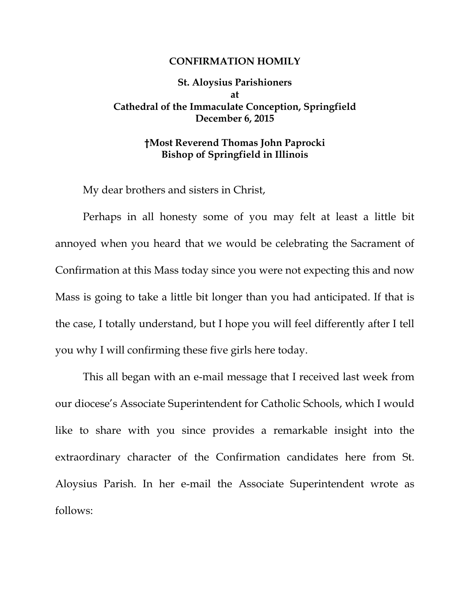## **CONFIRMATION HOMILY**

## **St. Aloysius Parishioners at Cathedral of the Immaculate Conception, Springfield December 6, 2015**

## **†Most Reverend Thomas John Paprocki Bishop of Springfield in Illinois**

My dear brothers and sisters in Christ,

Perhaps in all honesty some of you may felt at least a little bit annoyed when you heard that we would be celebrating the Sacrament of Confirmation at this Mass today since you were not expecting this and now Mass is going to take a little bit longer than you had anticipated. If that is the case, I totally understand, but I hope you will feel differently after I tell you why I will confirming these five girls here today.

This all began with an e-mail message that I received last week from our diocese's Associate Superintendent for Catholic Schools, which I would like to share with you since provides a remarkable insight into the extraordinary character of the Confirmation candidates here from St. Aloysius Parish. In her e-mail the Associate Superintendent wrote as follows: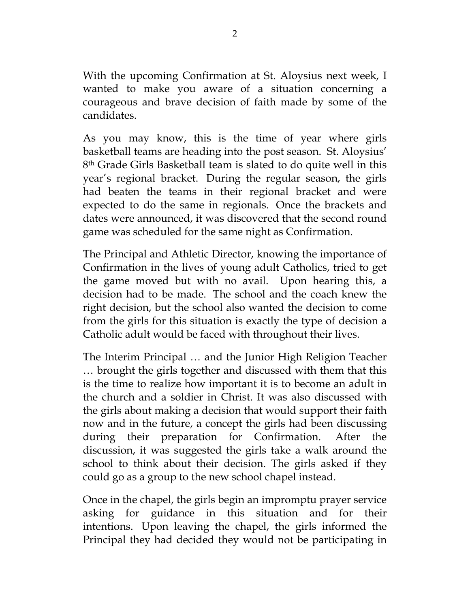With the upcoming Confirmation at St. Aloysius next week, I wanted to make you aware of a situation concerning a courageous and brave decision of faith made by some of the candidates.

As you may know, this is the time of year where girls basketball teams are heading into the post season. St. Aloysius' 8th Grade Girls Basketball team is slated to do quite well in this year's regional bracket. During the regular season, the girls had beaten the teams in their regional bracket and were expected to do the same in regionals. Once the brackets and dates were announced, it was discovered that the second round game was scheduled for the same night as Confirmation.

The Principal and Athletic Director, knowing the importance of Confirmation in the lives of young adult Catholics, tried to get the game moved but with no avail. Upon hearing this, a decision had to be made. The school and the coach knew the right decision, but the school also wanted the decision to come from the girls for this situation is exactly the type of decision a Catholic adult would be faced with throughout their lives.

The Interim Principal … and the Junior High Religion Teacher … brought the girls together and discussed with them that this is the time to realize how important it is to become an adult in the church and a soldier in Christ. It was also discussed with the girls about making a decision that would support their faith now and in the future, a concept the girls had been discussing during their preparation for Confirmation. After the discussion, it was suggested the girls take a walk around the school to think about their decision. The girls asked if they could go as a group to the new school chapel instead.

Once in the chapel, the girls begin an impromptu prayer service asking for guidance in this situation and for their intentions. Upon leaving the chapel, the girls informed the Principal they had decided they would not be participating in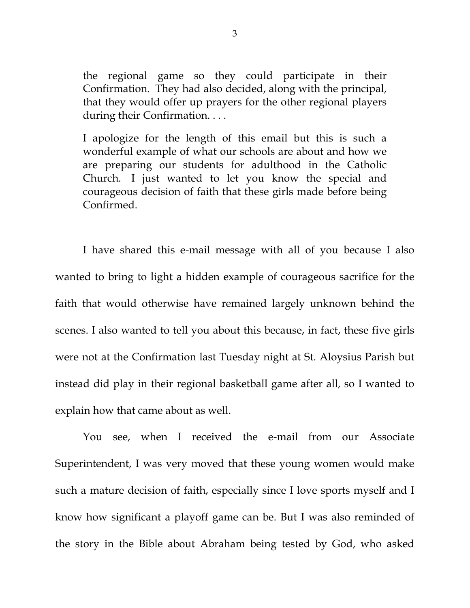the regional game so they could participate in their Confirmation. They had also decided, along with the principal, that they would offer up prayers for the other regional players during their Confirmation. . . .

I apologize for the length of this email but this is such a wonderful example of what our schools are about and how we are preparing our students for adulthood in the Catholic Church. I just wanted to let you know the special and courageous decision of faith that these girls made before being Confirmed.

 I have shared this e-mail message with all of you because I also wanted to bring to light a hidden example of courageous sacrifice for the faith that would otherwise have remained largely unknown behind the scenes. I also wanted to tell you about this because, in fact, these five girls were not at the Confirmation last Tuesday night at St. Aloysius Parish but instead did play in their regional basketball game after all, so I wanted to explain how that came about as well.

 You see, when I received the e-mail from our Associate Superintendent, I was very moved that these young women would make such a mature decision of faith, especially since I love sports myself and I know how significant a playoff game can be. But I was also reminded of the story in the Bible about Abraham being tested by God, who asked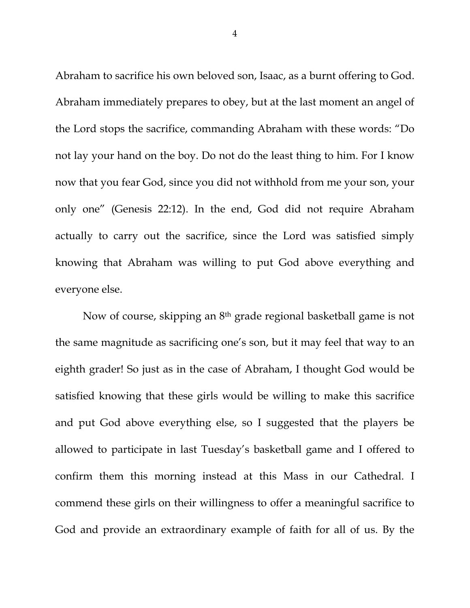Abraham to sacrifice his own beloved son, Isaac, as a burnt offering to God. Abraham immediately prepares to obey, but at the last moment an angel of the Lord stops the sacrifice, commanding Abraham with these words: "Do not lay your hand on the boy. Do not do the least thing to him. For I know now that you fear God, since you did not withhold from me your son, your only one" (Genesis 22:12). In the end, God did not require Abraham actually to carry out the sacrifice, since the Lord was satisfied simply knowing that Abraham was willing to put God above everything and everyone else.

 Now of course, skipping an 8th grade regional basketball game is not the same magnitude as sacrificing one's son, but it may feel that way to an eighth grader! So just as in the case of Abraham, I thought God would be satisfied knowing that these girls would be willing to make this sacrifice and put God above everything else, so I suggested that the players be allowed to participate in last Tuesday's basketball game and I offered to confirm them this morning instead at this Mass in our Cathedral. I commend these girls on their willingness to offer a meaningful sacrifice to God and provide an extraordinary example of faith for all of us. By the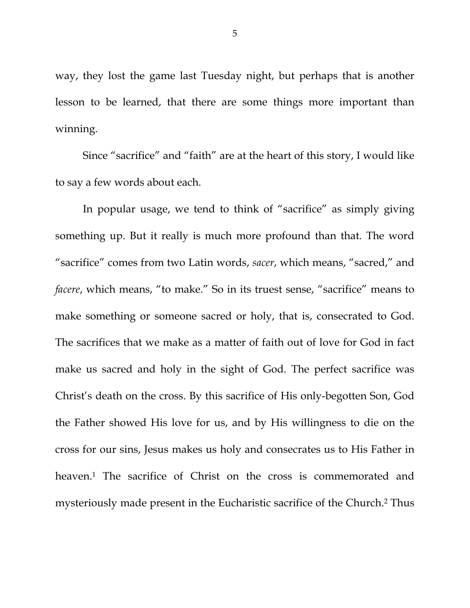way, they lost the game last Tuesday night, but perhaps that is another lesson to be learned, that there are some things more important than winning.

 Since "sacrifice" and "faith" are at the heart of this story, I would like to say a few words about each.

In popular usage, we tend to think of "sacrifice" as simply giving something up. But it really is much more profound than that. The word "sacrifice" comes from two Latin words, *sacer*, which means, "sacred," and *facere*, which means, "to make." So in its truest sense, "sacrifice" means to make something or someone sacred or holy, that is, consecrated to God. The sacrifices that we make as a matter of faith out of love for God in fact make us sacred and holy in the sight of God. The perfect sacrifice was Christ's death on the cross. By this sacrifice of His only-begotten Son, God the Father showed His love for us, and by His willingness to die on the cross for our sins, Jesus makes us holy and consecrates us to His Father in heaven.<sup>1</sup> The sacrifice of Christ on the cross is commemorated and mysteriously made present in the Eucharistic sacrifice of the Church.2 Thus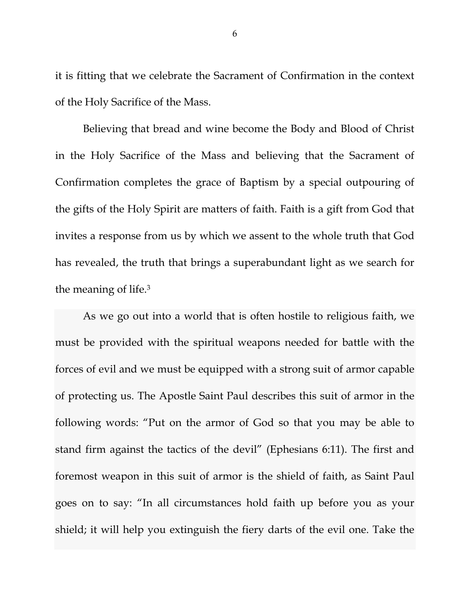it is fitting that we celebrate the Sacrament of Confirmation in the context of the Holy Sacrifice of the Mass.

Believing that bread and wine become the Body and Blood of Christ in the Holy Sacrifice of the Mass and believing that the Sacrament of Confirmation completes the grace of Baptism by a special outpouring of the gifts of the Holy Spirit are matters of faith. Faith is a gift from God that invites a response from us by which we assent to the whole truth that God has revealed, the truth that brings a superabundant light as we search for the meaning of life.3

As we go out into a world that is often hostile to religious faith, we must be provided with the spiritual weapons needed for battle with the forces of evil and we must be equipped with a strong suit of armor capable of protecting us. The Apostle Saint Paul describes this suit of armor in the following words: "Put on the armor of God so that you may be able to stand firm against the tactics of the devil" (Ephesians 6:11). The first and foremost weapon in this suit of armor is the shield of faith, as Saint Paul goes on to say: "In all circumstances hold faith up before you as your shield; it will help you extinguish the fiery darts of the evil one. Take the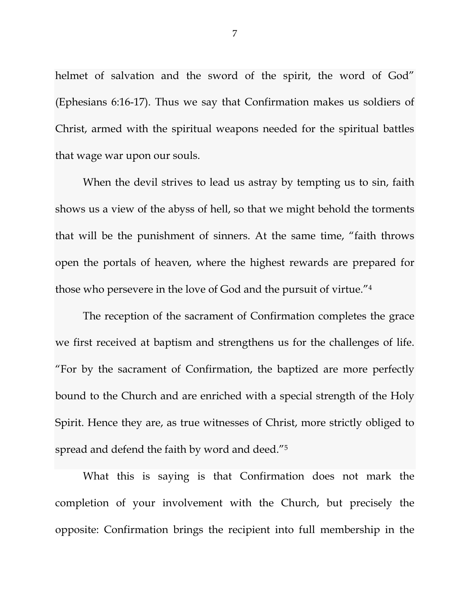helmet of salvation and the sword of the spirit, the word of God" (Ephesians 6:16-17). Thus we say that Confirmation makes us soldiers of Christ, armed with the spiritual weapons needed for the spiritual battles that wage war upon our souls.

When the devil strives to lead us astray by tempting us to sin, faith shows us a view of the abyss of hell, so that we might behold the torments that will be the punishment of sinners. At the same time, "faith throws open the portals of heaven, where the highest rewards are prepared for those who persevere in the love of God and the pursuit of virtue."4

The reception of the sacrament of Confirmation completes the grace we first received at baptism and strengthens us for the challenges of life. "For by the sacrament of Confirmation, the baptized are more perfectly bound to the Church and are enriched with a special strength of the Holy Spirit. Hence they are, as true witnesses of Christ, more strictly obliged to spread and defend the faith by word and deed."5

What this is saying is that Confirmation does not mark the completion of your involvement with the Church, but precisely the opposite: Confirmation brings the recipient into full membership in the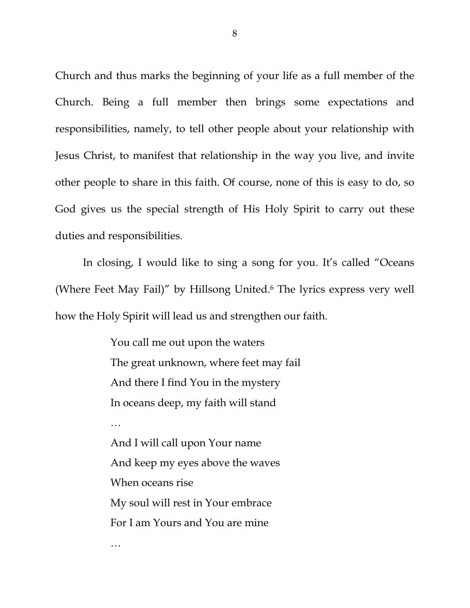Church and thus marks the beginning of your life as a full member of the Church. Being a full member then brings some expectations and responsibilities, namely, to tell other people about your relationship with Jesus Christ, to manifest that relationship in the way you live, and invite other people to share in this faith. Of course, none of this is easy to do, so God gives us the special strength of His Holy Spirit to carry out these duties and responsibilities.

In closing, I would like to sing a song for you. It's called "Oceans (Where Feet May Fail)" by Hillsong United.<sup>6</sup> The lyrics express very well how the Holy Spirit will lead us and strengthen our faith.

> You call me out upon the waters The great unknown, where feet may fail And there I find You in the mystery In oceans deep, my faith will stand … And I will call upon Your name And keep my eyes above the waves When oceans rise My soul will rest in Your embrace

For I am Yours and You are mine

…

8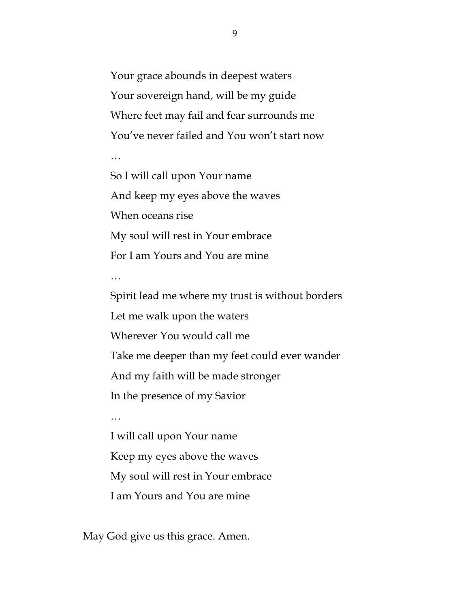Your grace abounds in deepest waters Your sovereign hand, will be my guide Where feet may fail and fear surrounds me You've never failed and You won't start now …

So I will call upon Your name And keep my eyes above the waves When oceans rise My soul will rest in Your embrace For I am Yours and You are mine

…

Spirit lead me where my trust is without borders Let me walk upon the waters Wherever You would call me Take me deeper than my feet could ever wander And my faith will be made stronger In the presence of my Savior …

I will call upon Your name Keep my eyes above the waves My soul will rest in Your embrace I am Yours and You are mine

May God give us this grace. Amen.